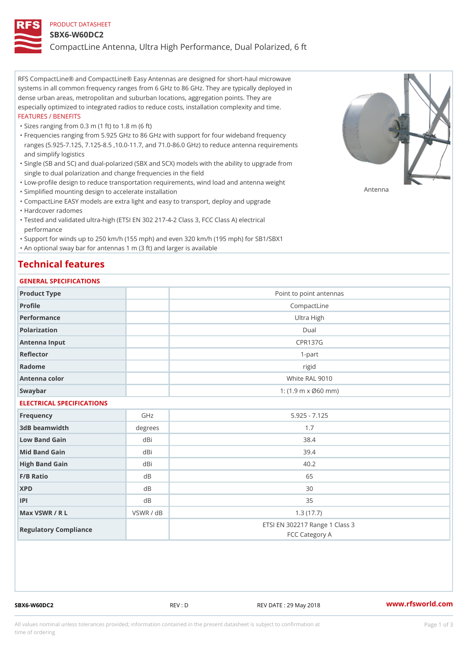#### PRODUCT DATASHEET

#### SBX6-W60DC2

CompactLine Antenna, Ultra High Performance, Dual Polarized, 6 ft

RFS CompactLine® and CompactLine® Easy Antennas are designed for short-haul microwave systems in all common frequency ranges from 6 GHz to 86 GHz. They are typically deployed in dense urban areas, metropolitan and suburban locations, aggregation points. They are especially optimized to integrated radios to reduce costs, installation complexity and time. FEATURES / BENEFITS

"Sizes ranging from 0.3 m (1 ft) to 1.8 m (6 ft)

- Frequencies ranging from 5.925 GHz to 86 GHz with support for four wideband frequency " ranges (5.925-7.125, 7.125-8.5 ,10.0-11.7, and 71.0-86.0 GHz) to reduce antenna requirements and simplify logistics
- Single (SB and SC) and dual-polarized (SBX and SCX) models with the ability to upgrade from " single to dual polarization and change frequencies in the field
- "Low-profile design to reduce transportation requirements, wind load and antenna weight
- "Simplified mounting design to accelerate installation

 "CompactLine EASY models are extra light and easy to transport, deploy and upgrade "Hardcover radomes

Tested and validated ultra-high (ETSI EN 302 217-4-2 Class 3, FCC Class A) electrical " performance

 "Support for winds up to 250 km/h (155 mph) and even 320 km/h (195 mph) for SB1/SBX1 "An optional sway bar for antennas 1 m (3 ft) and larger is available

# Technical features

### GENERAL SPECIFICATIONS

| GENERAL SELGIFICATIONS    |                |                                                  |  |  |
|---------------------------|----------------|--------------------------------------------------|--|--|
| Product Type              |                | Point to point antennas                          |  |  |
| Profile                   |                | CompactLine                                      |  |  |
| Performance               |                | Ultra High                                       |  |  |
| Polarization              | $D$ ual        |                                                  |  |  |
| Antenna Input             | <b>CPR137G</b> |                                                  |  |  |
| Reflector                 |                | $1 - p$ art                                      |  |  |
| Radome                    |                | rigid                                            |  |  |
| Antenna color             |                | White RAL 9010                                   |  |  |
| Swaybar                   |                | 1: $(1.9 \, m \times 060 \, mm)$                 |  |  |
| ELECTRICAL SPECIFICATIONS |                |                                                  |  |  |
| Frequency                 | GHz            | $5.925 - 7.125$                                  |  |  |
| 3dB beamwidth             | degrees        | 1.7                                              |  |  |
| Low Band Gain             | dBi            | 38.4                                             |  |  |
| Mid Band Gain             | dBi            | 39.4                                             |  |  |
| High Band Gain            | dBi            | 40.2                                             |  |  |
| F/B Ratio                 | d B            | 65                                               |  |  |
| <b>XPD</b>                | d B            | 30                                               |  |  |
| P                         | d B            | 35                                               |  |  |
| Max VSWR / R L            | VSWR / dB      | 1.3(17.7)                                        |  |  |
| Regulatory Compliance     |                | ETSI EN 302217 Range 1 Class 3<br>FCC Category A |  |  |

SBX6-W60DC2 REV : D REV DATE : 29 May 2018 [www.](https://www.rfsworld.com)rfsworld.com

Antenna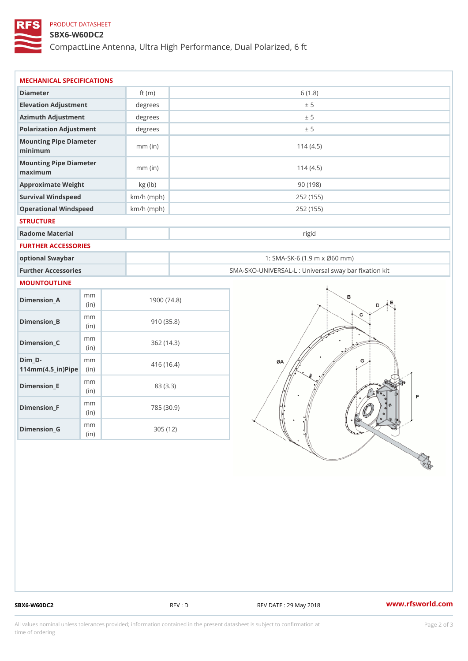### PRODUCT DATASHEET

### SBX6-W60DC2

CompactLine Antenna, Ultra High Performance, Dual Polarized, 6 ft

| MECHANICAL SPECIFICATIONS                                                      |              |                                                   |
|--------------------------------------------------------------------------------|--------------|---------------------------------------------------|
| Diameter                                                                       | ft $(m)$     | 6(1.8)                                            |
| Elevation Adjustment                                                           | degrees      | ± 5                                               |
| Azimuth Adjustment                                                             | degrees      | ± 5                                               |
| Polarization Adjustment                                                        | degrees      | ± 5                                               |
| Mounting Pipe Diameter<br>minimum                                              | $mm$ (in)    | 114(4.5)                                          |
| Mounting Pipe Diameter<br>maximum                                              | $mm$ (in)    | 114(4.5)                                          |
| Approximate Weight                                                             | kg (lb)      | 90(198)                                           |
| Survival Windspeed                                                             | $km/h$ (mph) | 252 (155)                                         |
| Operational Windspeed                                                          | $km/h$ (mph) | 252 (155)                                         |
| <b>STRUCTURE</b>                                                               |              |                                                   |
| Radome Material                                                                |              | rigid                                             |
| FURTHER ACCESSORIES                                                            |              |                                                   |
| optional Swaybar                                                               |              | 1: SMA-SK-6 (1.9 m x Ø60 mm)                      |
| Further Accessories                                                            |              | SMA-SKO-UNIVERSAL-L : Universal sway bar fixation |
| MOUNTOUTLINE                                                                   |              |                                                   |
| m m<br>$Dimenision_A$<br>(in)                                                  | 1900(74.8)   |                                                   |
| m m<br>$Dimension_B$<br>(in)                                                   | 910(35.8)    |                                                   |
| m m<br>$Dimension_C$<br>(in)                                                   | 362(14.3)    |                                                   |
| $Dim_D - D -$<br>m m<br>$114$ m m (4.5 _ ir ) $\sqrt{$ ii p $\sqrt{$ $\approx$ | 416 (16.4)   |                                                   |
| m m<br>$Dimension$ = E<br>(i n)                                                | 83 (3.3)     |                                                   |
| m m<br>$Dimension_F$<br>(in)                                                   | 785 (30.9)   |                                                   |
| m m<br>$D$ imension $_G$<br>(in)                                               | 305(12)      |                                                   |

SBX6-W60DC2 REV : D REV DATE : 29 May 2018 WWW.rfsworld.com